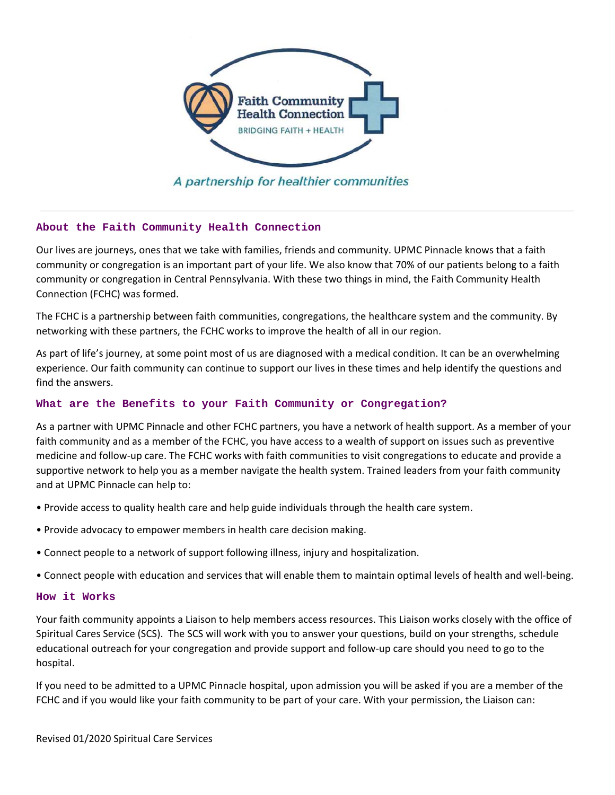

A partnership for healthier communities

# **About the Faith Community Health Connection**

Our lives are journeys, ones that we take with families, friends and community. UPMC Pinnacle knows that a faith community or congregation is an important part of your life. We also know that 70% of our patients belong to a faith community or congregation in Central Pennsylvania. With these two things in mind, the Faith Community Health Connection (FCHC) was formed.

The FCHC is a partnership between faith communities, congregations, the healthcare system and the community. By networking with these partners, the FCHC works to improve the health of all in our region.

As part of life's journey, at some point most of us are diagnosed with a medical condition. It can be an overwhelming experience. Our faith community can continue to support our lives in these times and help identify the questions and find the answers.

# **What are the Benefits to your Faith Community or Congregation?**

As a partner with UPMC Pinnacle and other FCHC partners, you have a network of health support. As a member of your faith community and as a member of the FCHC, you have access to a wealth of support on issues such as preventive medicine and follow‐up care. The FCHC works with faith communities to visit congregations to educate and provide a supportive network to help you as a member navigate the health system. Trained leaders from your faith community and at UPMC Pinnacle can help to:

- Provide access to quality health care and help guide individuals through the health care system.
- Provide advocacy to empower members in health care decision making.
- Connect people to a network of support following illness, injury and hospitalization.
- Connect people with education and services that will enable them to maintain optimal levels of health and well‐being.

### **How it Works**

Your faith community appoints a Liaison to help members access resources. This Liaison works closely with the office of Spiritual Cares Service (SCS). The SCS will work with you to answer your questions, build on your strengths, schedule educational outreach for your congregation and provide support and follow‐up care should you need to go to the hospital.

If you need to be admitted to a UPMC Pinnacle hospital, upon admission you will be asked if you are a member of the FCHC and if you would like your faith community to be part of your care. With your permission, the Liaison can: